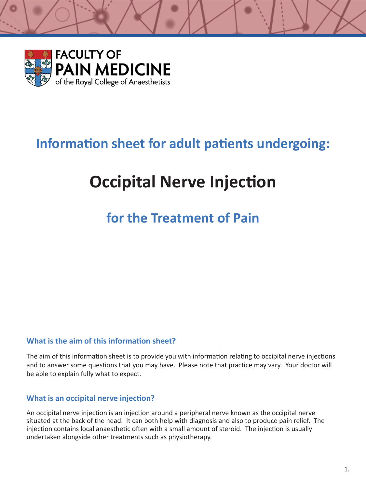

# **Information sheet for adult patients undergoing:**

# **Occipital Nerve Injection**

## **for the Treatment of Pain**

## **What is the aim of this information sheet?**

The aim of this information sheet is to provide you with information relating to occipital nerve injections and to answer some questions that you may have. Please note that practice may vary. Your doctor will be able to explain fully what to expect.

#### **What is an occipital nerve injection?**

An occipital nerve injection is an injection around a peripheral nerve known as the occipital nerve situated at the back of the head. It can both help with diagnosis and also to produce pain relief. The injection contains local anaesthetic often with a small amount of steroid. The injection is usually undertaken alongside other treatments such as physiotherapy.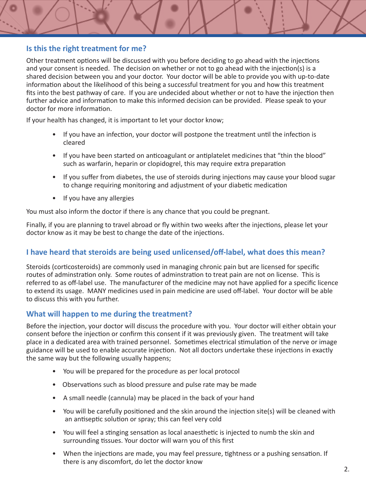#### **Is this the right treatment for me?**

Other treatment options will be discussed with you before deciding to go ahead with the injections and your consent is needed. The decision on whether or not to go ahead with the injection(s) is a shared decision between you and your doctor. Your doctor will be able to provide you with up-to-date information about the likelihood of this being a successful treatment for you and how this treatment fits into the best pathway of care. If you are undecided about whether or not to have the injection then further advice and information to make this informed decision can be provided. Please speak to your doctor for more information.

If your health has changed, it is important to let your doctor know;

- If you have an infection, your doctor will postpone the treatment until the infection is cleared
- If you have been started on anticoagulant or antiplatelet medicines that "thin the blood" such as warfarin, heparin or clopidogrel, this may require extra preparation
- If you suffer from diabetes, the use of steroids during injections may cause your blood sugar to change requiring monitoring and adjustment of your diabetic medication
- If you have any allergies

You must also inform the doctor if there is any chance that you could be pregnant.

Finally, if you are planning to travel abroad or fly within two weeks after the injections, please let your doctor know as it may be best to change the date of the injections.

#### **I have heard that steroids are being used unlicensed/off-label, what does this mean?**

Steroids (corticosteroids) are commonly used in managing chronic pain but are licensed for specific routes of adminstration only. Some routes of adminstration to treat pain are not on license. This is referred to as off-label use. The manufacturer of the medicine may not have applied for a specific licence to extend its usage. MANY medicines used in pain medicine are used off-label. Your doctor will be able to discuss this with you further.

#### **What will happen to me during the treatment?**

Before the injection, your doctor will discuss the procedure with you. Your doctor will either obtain your consent before the injection or confirm this consent if it was previously given. The treatment will take place in a dedicated area with trained personnel. Sometimes electrical stimulation of the nerve or image guidance will be used to enable accurate injection. Not all doctors undertake these injections in exactly the same way but the following usually happens;

- You will be prepared for the procedure as per local protocol
- Observations such as blood pressure and pulse rate may be made
- A small needle (cannula) may be placed in the back of your hand
- You will be carefully positioned and the skin around the injection site(s) will be cleaned with an antiseptic solution or spray; this can feel very cold
- You will feel a stinging sensation as local anaesthetic is injected to numb the skin and surrounding tissues. Your doctor will warn you of this first
- When the injections are made, you may feel pressure, tightness or a pushing sensation. If there is any discomfort, do let the doctor know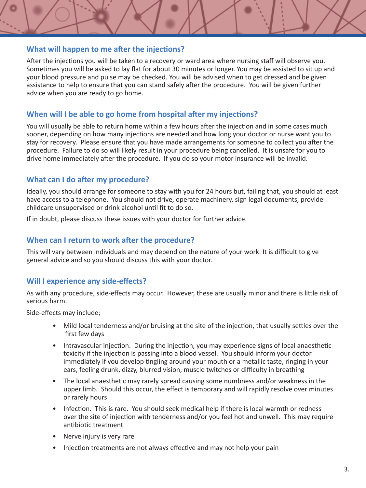#### **What will happen to me after the injections?**

After the injections you will be taken to a recovery or ward area where nursing staff will observe you. Sometimes you will be asked to lay flat for about 30 minutes or longer. You may be assisted to sit up and your blood pressure and pulse may be checked. You will be advised when to get dressed and be given assistance to help to ensure that you can stand safely after the procedure. You will be given further advice when you are ready to go home.

### **When will I be able to go home from hospital after my injections?**

You will usually be able to return home within a few hours after the injection and in some cases much sooner, depending on how many injections are needed and how long your doctor or nurse want you to stay for recovery.Please ensure that you have made arrangements for someone to collect you after the procedure. Failure to do so will likely result in your procedure being cancelled. It is unsafe for you to drive home immediately after the procedure. If you do so your motor insurance will be invalid.

### **What can I do after my procedure?**

Ideally, you should arrange for someone to stay with you for 24 hours but, failing that, you should at least have access to a telephone. You should not drive, operate machinery, sign legal documents, provide childcare unsupervised or drink alcohol until fit to do so.

If in doubt, please discuss these issues with your doctor for further advice.

#### **When can I return to work after the procedure?**

This will vary between individuals and may depend on the nature of your work. It is difficult to give general advice and so you should discuss this with your doctor.

#### **Will I experience any side-effects?**

As with any procedure, side-effects may occur. However, these are usually minor and there is little risk of serious harm.

Side-effects may include;

- Mild local tenderness and/or bruising at the site of the injection, that usually settles over the first few days
- Intravascular injection. During the injection, you may experience signs of local anaesthetic toxicity if the injection is passing into a blood vessel. You should inform your doctor immediately if you develop tingling around your mouth or a metallic taste, ringing in your ears, feeling drunk, dizzy, blurred vision, muscle twitches or difficulty in breathing
- The local anaesthetic may rarely spread causing some numbness and/or weakness in the upper limb. Should this occur, the effect is temporary and will rapidly resolve over minutes or rarely hours
- Infection. This is rare. You should seek medical help if there is local warmth or redness over the site of injection with tenderness and/or you feel hot and unwell. This may require antibiotic treatment
- Nerve injury is very rare
- Injection treatments are not always effective and may not help your pain